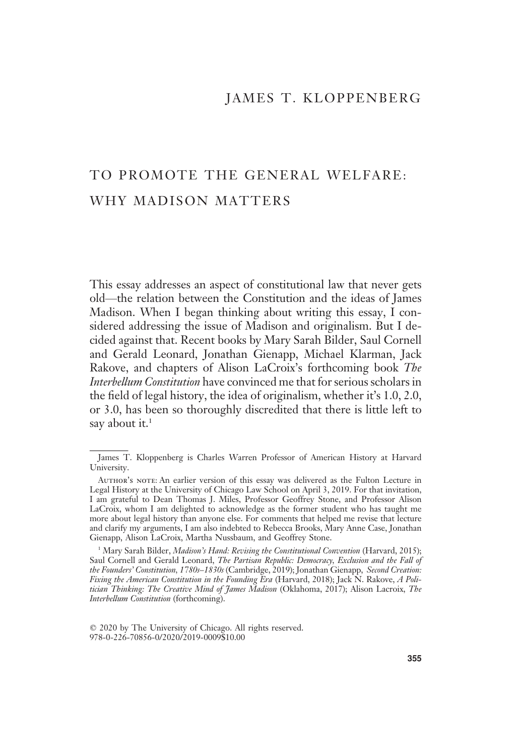# JAMES T. KLOPPENBERG

# TO PROMOTE THE GENERAL WELFARE: WHY MADISON MATTERS

This essay addresses an aspect of constitutional law that never gets old—the relation between the Constitution and the ideas of James Madison. When I began thinking about writing this essay, I considered addressing the issue of Madison and originalism. But I decided against that. Recent books by Mary Sarah Bilder, Saul Cornell and Gerald Leonard, Jonathan Gienapp, Michael Klarman, Jack Rakove, and chapters of Alison LaCroix's forthcoming book The Interbellum Constitution have convinced me that for serious scholars in the field of legal history, the idea of originalism, whether it's 1.0, 2.0, or 3.0, has been so thoroughly discredited that there is little left to say about it. $<sup>1</sup>$ </sup>

James T. Kloppenberg is Charles Warren Professor of American History at Harvard University.

AUTHOR'S NOTE: An earlier version of this essay was delivered as the Fulton Lecture in Legal History at the University of Chicago Law School on April 3, 2019. For that invitation, I am grateful to Dean Thomas J. Miles, Professor Geoffrey Stone, and Professor Alison LaCroix, whom I am delighted to acknowledge as the former student who has taught me more about legal history than anyone else. For comments that helped me revise that lecture and clarify my arguments, I am also indebted to Rebecca Brooks, Mary Anne Case, Jonathan Gienapp, Alison LaCroix, Martha Nussbaum, and Geoffrey Stone.

<sup>&</sup>lt;sup>1</sup> Mary Sarah Bilder, *Madison's Hand: Revising the Constitutional Convention* (Harvard, 2015); Saul Cornell and Gerald Leonard, The Partisan Republic: Democracy, Exclusion and the Fall of the Founders' Constitution, 1780s-1830s (Cambridge, 2019); Jonathan Gienapp, Second Creation: Fixing the American Constitution in the Founding Era (Harvard, 2018); Jack N. Rakove, A Politician Thinking: The Creative Mind of James Madison (Oklahoma, 2017); Alison Lacroix, The Interbellum Constitution (forthcoming).

 $©$  2020 by The University of Chicago. All rights reserved. 978-0-226-70856-0/2020/2019-0009\$10.00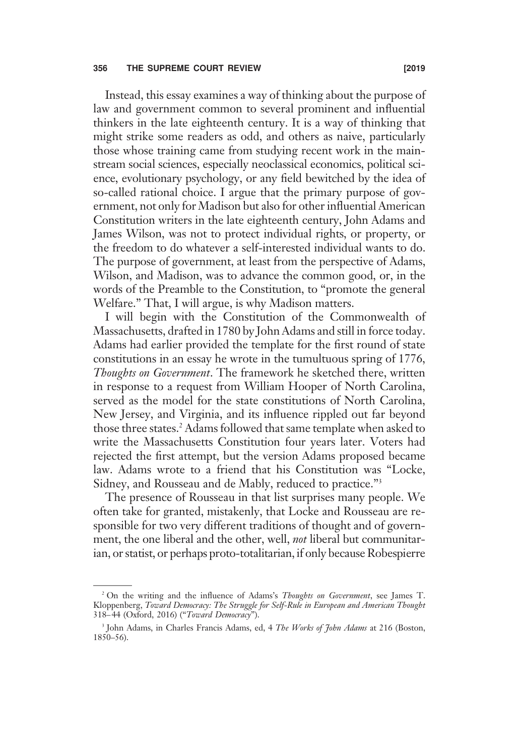# 356 THE SUPREME COURT REVIEW **EXAMPLE 2019** [2019]

Instead, this essay examines a way of thinking about the purpose of law and government common to several prominent and influential thinkers in the late eighteenth century. It is a way of thinking that might strike some readers as odd, and others as naive, particularly those whose training came from studying recent work in the mainstream social sciences, especially neoclassical economics, political science, evolutionary psychology, or any field bewitched by the idea of so-called rational choice. I argue that the primary purpose of government, not only for Madison but also for other influential American Constitution writers in the late eighteenth century, John Adams and James Wilson, was not to protect individual rights, or property, or the freedom to do whatever a self-interested individual wants to do. The purpose of government, at least from the perspective of Adams, Wilson, and Madison, was to advance the common good, or, in the words of the Preamble to the Constitution, to "promote the general Welfare." That, I will argue, is why Madison matters.

I will begin with the Constitution of the Commonwealth of Massachusetts, drafted in 1780 by John Adams and still in force today. Adams had earlier provided the template for the first round of state constitutions in an essay he wrote in the tumultuous spring of 1776, Thoughts on Government. The framework he sketched there, written in response to a request from William Hooper of North Carolina, served as the model for the state constitutions of North Carolina, New Jersey, and Virginia, and its influence rippled out far beyond those three states.<sup>2</sup> Adams followed that same template when asked to write the Massachusetts Constitution four years later. Voters had rejected the first attempt, but the version Adams proposed became law. Adams wrote to a friend that his Constitution was "Locke, Sidney, and Rousseau and de Mably, reduced to practice."<sup>3</sup>

The presence of Rousseau in that list surprises many people. We often take for granted, mistakenly, that Locke and Rousseau are responsible for two very different traditions of thought and of government, the one liberal and the other, well, *not* liberal but communitarian, or statist, or perhaps proto-totalitarian, if only because Robespierre

<sup>&</sup>lt;sup>2</sup> On the writing and the influence of Adams's *Thoughts on Government*, see James T. Kloppenberg, Toward Democracy: The Struggle for Self-Rule in European and American Thought 318–44 (Oxford, 2016) ("Toward Democracy").

<sup>&</sup>lt;sup>3</sup> John Adams, in Charles Francis Adams, ed, 4 The Works of John Adams at 216 (Boston, 1850–56).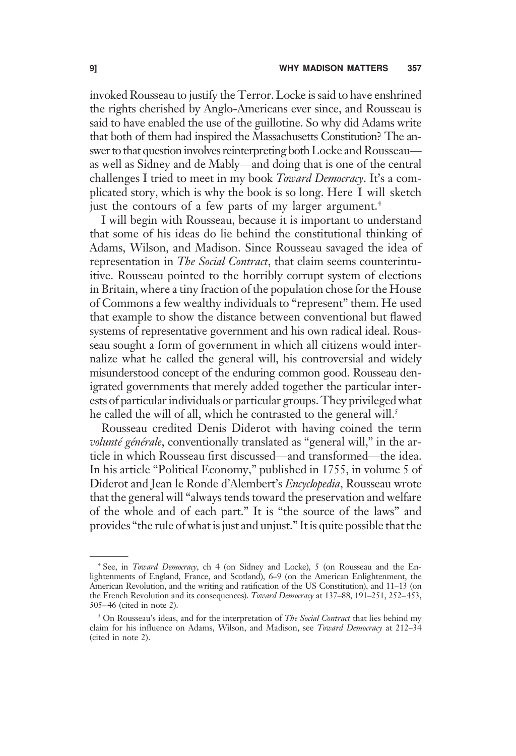invoked Rousseau to justify the Terror. Locke is said to have enshrined the rights cherished by Anglo-Americans ever since, and Rousseau is said to have enabled the use of the guillotine. So why did Adams write that both of them had inspired the Massachusetts Constitution? The answer to that question involves reinterpreting both Locke and Rousseau as well as Sidney and de Mably—and doing that is one of the central challenges I tried to meet in my book Toward Democracy. It's a complicated story, which is why the book is so long. Here I will sketch just the contours of a few parts of my larger argument.<sup>4</sup>

I will begin with Rousseau, because it is important to understand that some of his ideas do lie behind the constitutional thinking of Adams, Wilson, and Madison. Since Rousseau savaged the idea of representation in *The Social Contract*, that claim seems counterintuitive. Rousseau pointed to the horribly corrupt system of elections in Britain, where a tiny fraction of the population chose for the House of Commons a few wealthy individuals to "represent" them. He used that example to show the distance between conventional but flawed systems of representative government and his own radical ideal. Rousseau sought a form of government in which all citizens would internalize what he called the general will, his controversial and widely misunderstood concept of the enduring common good. Rousseau denigrated governments that merely added together the particular interests of particular individuals or particular groups. They privileged what he called the will of all, which he contrasted to the general will.<sup>5</sup>

Rousseau credited Denis Diderot with having coined the term volunté générale, conventionally translated as "general will," in the article in which Rousseau first discussed—and transformed—the idea. In his article "Political Economy," published in 1755, in volume 5 of Diderot and Jean le Ronde d'Alembert's Encyclopedia, Rousseau wrote that the general will "always tends toward the preservation and welfare of the whole and of each part." It is "the source of the laws" and provides "the rule of what is just and unjust." It is quite possible that the

<sup>4</sup> See, in Toward Democracy, ch 4 (on Sidney and Locke), 5 (on Rousseau and the Enlightenments of England, France, and Scotland), 6–9 (on the American Enlightenment, the American Revolution, and the writing and ratification of the US Constitution), and 11–13 (on the French Revolution and its consequences). Toward Democracy at 137-88, 191-251, 252-453, 505–46 (cited in note 2).

<sup>&</sup>lt;sup>5</sup> On Rousseau's ideas, and for the interpretation of The Social Contract that lies behind my claim for his influence on Adams, Wilson, and Madison, see Toward Democracy at 212–34 (cited in note 2).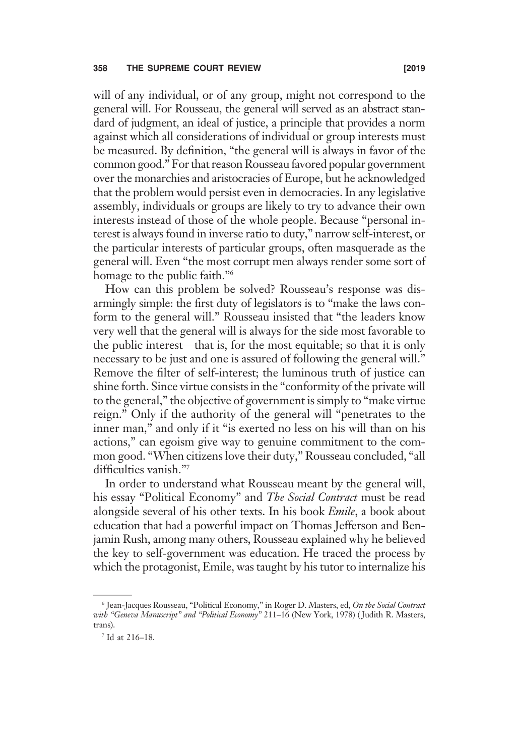will of any individual, or of any group, might not correspond to the general will. For Rousseau, the general will served as an abstract standard of judgment, an ideal of justice, a principle that provides a norm against which all considerations of individual or group interests must be measured. By definition, "the general will is always in favor of the common good." For that reason Rousseau favored popular government over the monarchies and aristocracies of Europe, but he acknowledged that the problem would persist even in democracies. In any legislative assembly, individuals or groups are likely to try to advance their own interests instead of those of the whole people. Because "personal interest is always found in inverse ratio to duty," narrow self-interest, or the particular interests of particular groups, often masquerade as the general will. Even "the most corrupt men always render some sort of homage to the public faith."<sup>6</sup>

How can this problem be solved? Rousseau's response was disarmingly simple: the first duty of legislators is to "make the laws conform to the general will." Rousseau insisted that "the leaders know very well that the general will is always for the side most favorable to the public interest—that is, for the most equitable; so that it is only necessary to be just and one is assured of following the general will." Remove the filter of self-interest; the luminous truth of justice can shine forth. Since virtue consists in the "conformity of the private will to the general," the objective of government is simply to "make virtue reign." Only if the authority of the general will "penetrates to the inner man," and only if it "is exerted no less on his will than on his actions," can egoism give way to genuine commitment to the common good. "When citizens love their duty," Rousseau concluded, "all difficulties vanish."7

In order to understand what Rousseau meant by the general will, his essay "Political Economy" and The Social Contract must be read alongside several of his other texts. In his book Emile, a book about education that had a powerful impact on Thomas Jefferson and Benjamin Rush, among many others, Rousseau explained why he believed the key to self-government was education. He traced the process by which the protagonist, Emile, was taught by his tutor to internalize his

<sup>&</sup>lt;sup>6</sup> Jean-Jacques Rousseau, "Political Economy," in Roger D. Masters, ed, On the Social Contract with "Geneva Manuscript" and "Political Economy" 211-16 (New York, 1978) (Judith R. Masters, trans).

<sup>7</sup> Id at 216–18.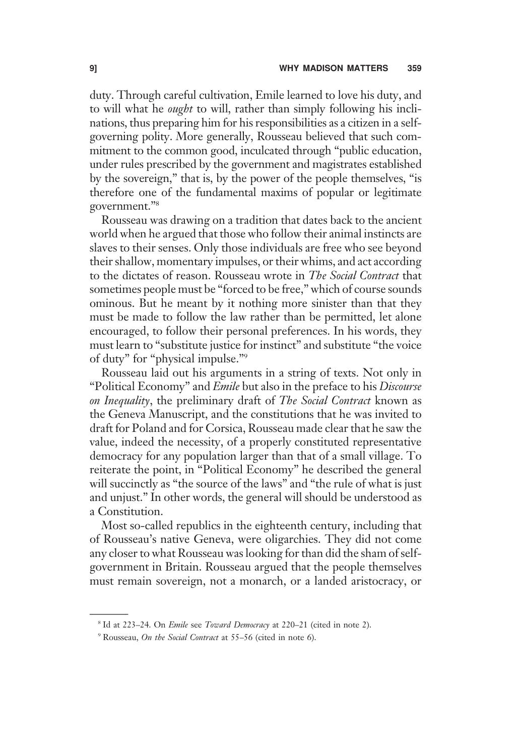duty. Through careful cultivation, Emile learned to love his duty, and to will what he *ought* to will, rather than simply following his inclinations, thus preparing him for his responsibilities as a citizen in a selfgoverning polity. More generally, Rousseau believed that such commitment to the common good, inculcated through "public education, under rules prescribed by the government and magistrates established by the sovereign," that is, by the power of the people themselves, "is therefore one of the fundamental maxims of popular or legitimate government."<sup>8</sup>

Rousseau was drawing on a tradition that dates back to the ancient world when he argued that those who follow their animal instincts are slaves to their senses. Only those individuals are free who see beyond their shallow, momentary impulses, or their whims, and act according to the dictates of reason. Rousseau wrote in The Social Contract that sometimes people must be "forced to be free," which of course sounds ominous. But he meant by it nothing more sinister than that they must be made to follow the law rather than be permitted, let alone encouraged, to follow their personal preferences. In his words, they must learn to "substitute justice for instinct" and substitute "the voice of duty" for "physical impulse."<sup>9</sup>

Rousseau laid out his arguments in a string of texts. Not only in "Political Economy" and *Emile* but also in the preface to his *Discourse* on Inequality, the preliminary draft of The Social Contract known as the Geneva Manuscript, and the constitutions that he was invited to draft for Poland and for Corsica, Rousseau made clear that he saw the value, indeed the necessity, of a properly constituted representative democracy for any population larger than that of a small village. To reiterate the point, in "Political Economy" he described the general will succinctly as "the source of the laws" and "the rule of what is just and unjust." In other words, the general will should be understood as a Constitution.

Most so-called republics in the eighteenth century, including that of Rousseau's native Geneva, were oligarchies. They did not come any closer to what Rousseau was looking for than did the sham of selfgovernment in Britain. Rousseau argued that the people themselves must remain sovereign, not a monarch, or a landed aristocracy, or

<sup>&</sup>lt;sup>8</sup> Id at 223–24. On *Emile* see *Toward Democracy* at 220–21 (cited in note 2).

<sup>&</sup>lt;sup>9</sup> Rousseau, On the Social Contract at 55–56 (cited in note 6).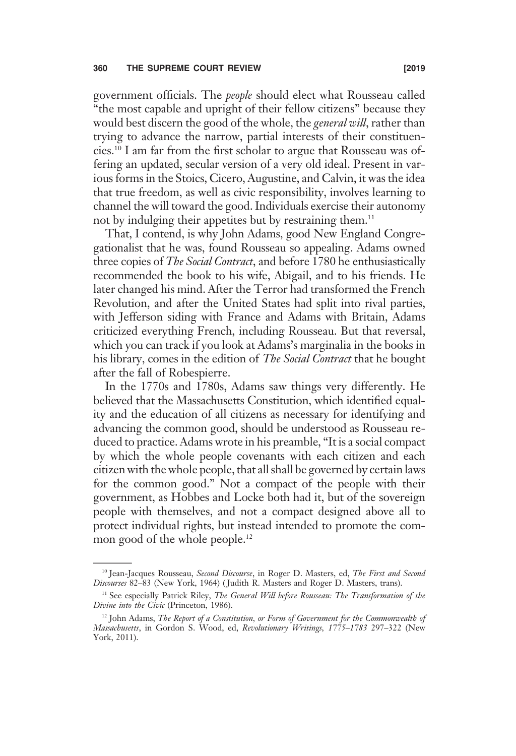government officials. The people should elect what Rousseau called "the most capable and upright of their fellow citizens" because they would best discern the good of the whole, the *general will*, rather than trying to advance the narrow, partial interests of their constituencies.10 I am far from the first scholar to argue that Rousseau was offering an updated, secular version of a very old ideal. Present in various forms in the Stoics, Cicero, Augustine, and Calvin, it was the idea that true freedom, as well as civic responsibility, involves learning to channel the will toward the good. Individuals exercise their autonomy not by indulging their appetites but by restraining them.<sup>11</sup>

That, I contend, is why John Adams, good New England Congregationalist that he was, found Rousseau so appealing. Adams owned three copies of *The Social Contract*, and before 1780 he enthusiastically recommended the book to his wife, Abigail, and to his friends. He later changed his mind. After the Terror had transformed the French Revolution, and after the United States had split into rival parties, with Jefferson siding with France and Adams with Britain, Adams criticized everything French, including Rousseau. But that reversal, which you can track if you look at Adams's marginalia in the books in his library, comes in the edition of *The Social Contract* that he bought after the fall of Robespierre.

In the 1770s and 1780s, Adams saw things very differently. He believed that the Massachusetts Constitution, which identified equality and the education of all citizens as necessary for identifying and advancing the common good, should be understood as Rousseau reduced to practice. Adams wrote in his preamble, "It is a social compact by which the whole people covenants with each citizen and each citizen with the whole people, that all shall be governed by certain laws for the common good." Not a compact of the people with their government, as Hobbes and Locke both had it, but of the sovereign people with themselves, and not a compact designed above all to protect individual rights, but instead intended to promote the common good of the whole people.<sup>12</sup>

<sup>&</sup>lt;sup>10</sup> Jean-Jacques Rousseau, Second Discourse, in Roger D. Masters, ed, The First and Second Discourses 82–83 (New York, 1964) ( Judith R. Masters and Roger D. Masters, trans).

<sup>&</sup>lt;sup>11</sup> See especially Patrick Riley, The General Will before Rousseau: The Transformation of the Divine into the Civic (Princeton, 1986).

<sup>&</sup>lt;sup>12</sup> John Adams, The Report of a Constitution, or Form of Government for the Commonwealth of Massachusetts, in Gordon S. Wood, ed, Revolutionary Writings, 1775–1783 297–322 (New York, 2011).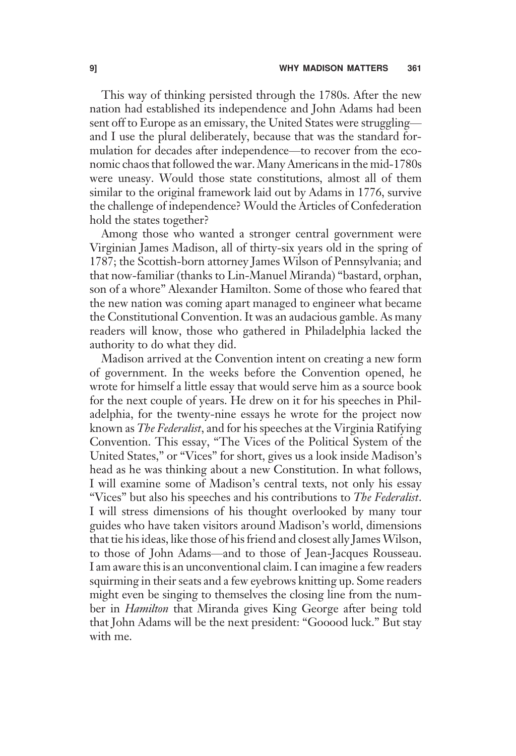This way of thinking persisted through the 1780s. After the new nation had established its independence and John Adams had been sent off to Europe as an emissary, the United States were struggling and I use the plural deliberately, because that was the standard formulation for decades after independence—to recover from the economic chaos that followed the war. Many Americans in the mid-1780s were uneasy. Would those state constitutions, almost all of them similar to the original framework laid out by Adams in 1776, survive the challenge of independence? Would the Articles of Confederation hold the states together?

Among those who wanted a stronger central government were Virginian James Madison, all of thirty-six years old in the spring of 1787; the Scottish-born attorney James Wilson of Pennsylvania; and that now-familiar (thanks to Lin-Manuel Miranda) "bastard, orphan, son of a whore" Alexander Hamilton. Some of those who feared that the new nation was coming apart managed to engineer what became the Constitutional Convention. It was an audacious gamble. As many readers will know, those who gathered in Philadelphia lacked the authority to do what they did.

Madison arrived at the Convention intent on creating a new form of government. In the weeks before the Convention opened, he wrote for himself a little essay that would serve him as a source book for the next couple of years. He drew on it for his speeches in Philadelphia, for the twenty-nine essays he wrote for the project now known as *The Federalist*, and for his speeches at the Virginia Ratifying Convention. This essay, "The Vices of the Political System of the United States," or "Vices" for short, gives us a look inside Madison's head as he was thinking about a new Constitution. In what follows, I will examine some of Madison's central texts, not only his essay "Vices" but also his speeches and his contributions to *The Federalist*. I will stress dimensions of his thought overlooked by many tour guides who have taken visitors around Madison's world, dimensions that tie his ideas, like those of his friend and closest ally James Wilson, to those of John Adams—and to those of Jean-Jacques Rousseau. I am aware this is an unconventional claim. I can imagine a few readers squirming in their seats and a few eyebrows knitting up. Some readers might even be singing to themselves the closing line from the number in *Hamilton* that Miranda gives King George after being told that John Adams will be the next president: "Gooood luck." But stay with me.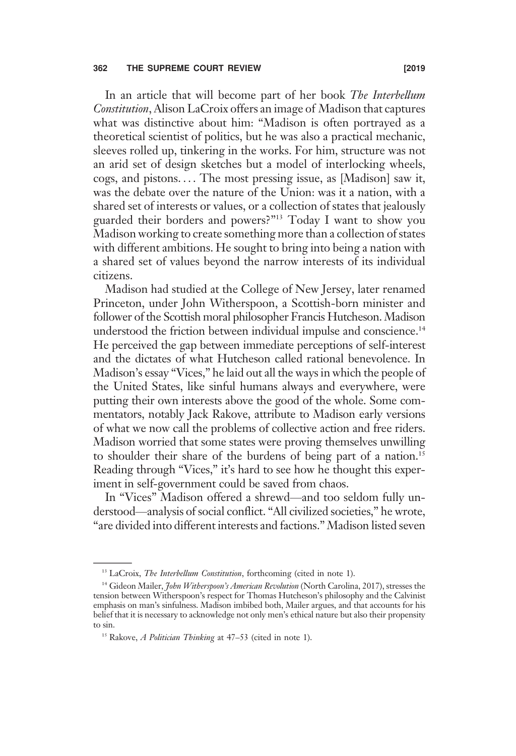In an article that will become part of her book The Interbellum Constitution, Alison LaCroix offers an image of Madison that captures what was distinctive about him: "Madison is often portrayed as a theoretical scientist of politics, but he was also a practical mechanic, sleeves rolled up, tinkering in the works. For him, structure was not an arid set of design sketches but a model of interlocking wheels, cogs, and pistons. . . . The most pressing issue, as [Madison] saw it, was the debate over the nature of the Union: was it a nation, with a shared set of interests or values, or a collection of states that jealously guarded their borders and powers?"<sup>13</sup> Today I want to show you Madison working to create something more than a collection of states with different ambitions. He sought to bring into being a nation with a shared set of values beyond the narrow interests of its individual citizens.

Madison had studied at the College of New Jersey, later renamed Princeton, under John Witherspoon, a Scottish-born minister and follower of the Scottish moral philosopher Francis Hutcheson. Madison understood the friction between individual impulse and conscience.<sup>14</sup> He perceived the gap between immediate perceptions of self-interest and the dictates of what Hutcheson called rational benevolence. In Madison's essay "Vices," he laid out all the ways in which the people of the United States, like sinful humans always and everywhere, were putting their own interests above the good of the whole. Some commentators, notably Jack Rakove, attribute to Madison early versions of what we now call the problems of collective action and free riders. Madison worried that some states were proving themselves unwilling to shoulder their share of the burdens of being part of a nation.<sup>15</sup> Reading through "Vices," it's hard to see how he thought this experiment in self-government could be saved from chaos.

In "Vices" Madison offered a shrewd—and too seldom fully understood—analysis of social conflict. "All civilized societies," he wrote, "are divided into different interests and factions." Madison listed seven

<sup>&</sup>lt;sup>13</sup> LaCroix, *The Interbellum Constitution*, forthcoming (cited in note 1).

<sup>&</sup>lt;sup>14</sup> Gideon Mailer, *John Witherspoon's American Revolution* (North Carolina, 2017), stresses the tension between Witherspoon's respect for Thomas Hutcheson's philosophy and the Calvinist emphasis on man's sinfulness. Madison imbibed both, Mailer argues, and that accounts for his belief that it is necessary to acknowledge not only men's ethical nature but also their propensity to sin.

<sup>&</sup>lt;sup>15</sup> Rakove, *A Politician Thinking* at  $47-53$  (cited in note 1).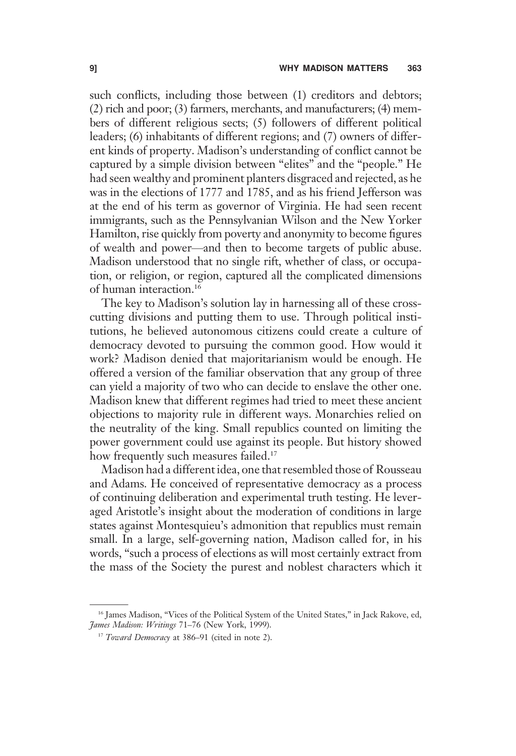such conflicts, including those between (1) creditors and debtors; (2) rich and poor; (3) farmers, merchants, and manufacturers; (4) members of different religious sects; (5) followers of different political leaders; (6) inhabitants of different regions; and (7) owners of different kinds of property. Madison's understanding of conflict cannot be captured by a simple division between "elites" and the "people." He had seen wealthy and prominent planters disgraced and rejected, as he was in the elections of 1777 and 1785, and as his friend Jefferson was at the end of his term as governor of Virginia. He had seen recent immigrants, such as the Pennsylvanian Wilson and the New Yorker Hamilton, rise quickly from poverty and anonymity to become figures of wealth and power—and then to become targets of public abuse. Madison understood that no single rift, whether of class, or occupation, or religion, or region, captured all the complicated dimensions of human interaction.16

The key to Madison's solution lay in harnessing all of these crosscutting divisions and putting them to use. Through political institutions, he believed autonomous citizens could create a culture of democracy devoted to pursuing the common good. How would it work? Madison denied that majoritarianism would be enough. He offered a version of the familiar observation that any group of three can yield a majority of two who can decide to enslave the other one. Madison knew that different regimes had tried to meet these ancient objections to majority rule in different ways. Monarchies relied on the neutrality of the king. Small republics counted on limiting the power government could use against its people. But history showed how frequently such measures failed.<sup>17</sup>

Madison had a different idea, one that resembled those of Rousseau and Adams. He conceived of representative democracy as a process of continuing deliberation and experimental truth testing. He leveraged Aristotle's insight about the moderation of conditions in large states against Montesquieu's admonition that republics must remain small. In a large, self-governing nation, Madison called for, in his words, "such a process of elections as will most certainly extract from the mass of the Society the purest and noblest characters which it

<sup>&</sup>lt;sup>16</sup> James Madison, "Vices of the Political System of the United States," in Jack Rakove, ed, James Madison: Writings 71–76 (New York, 1999).

<sup>&</sup>lt;sup>17</sup> Toward Democracy at 386–91 (cited in note 2).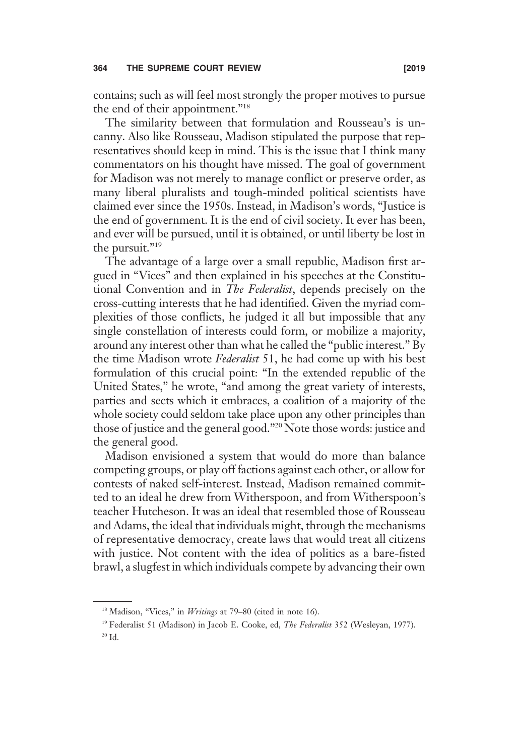contains; such as will feel most strongly the proper motives to pursue the end of their appointment."<sup>18</sup>

The similarity between that formulation and Rousseau's is uncanny. Also like Rousseau, Madison stipulated the purpose that representatives should keep in mind. This is the issue that I think many commentators on his thought have missed. The goal of government for Madison was not merely to manage conflict or preserve order, as many liberal pluralists and tough-minded political scientists have claimed ever since the 1950s. Instead, in Madison's words, "Justice is the end of government. It is the end of civil society. It ever has been, and ever will be pursued, until it is obtained, or until liberty be lost in the pursuit."<sup>19</sup>

The advantage of a large over a small republic, Madison first argued in "Vices" and then explained in his speeches at the Constitutional Convention and in The Federalist, depends precisely on the cross-cutting interests that he had identified. Given the myriad complexities of those conflicts, he judged it all but impossible that any single constellation of interests could form, or mobilize a majority, around any interest other than what he called the "public interest." By the time Madison wrote Federalist 51, he had come up with his best formulation of this crucial point: "In the extended republic of the United States," he wrote, "and among the great variety of interests, parties and sects which it embraces, a coalition of a majority of the whole society could seldom take place upon any other principles than those of justice and the general good."<sup>20</sup> Note those words: justice and the general good.

Madison envisioned a system that would do more than balance competing groups, or play off factions against each other, or allow for contests of naked self-interest. Instead, Madison remained committed to an ideal he drew from Witherspoon, and from Witherspoon's teacher Hutcheson. It was an ideal that resembled those of Rousseau and Adams, the ideal that individuals might, through the mechanisms of representative democracy, create laws that would treat all citizens with justice. Not content with the idea of politics as a bare-fisted brawl, a slugfest in which individuals compete by advancing their own

 $18$  Madison, "Vices," in *Writings* at 79–80 (cited in note 16).

<sup>&</sup>lt;sup>19</sup> Federalist 51 (Madison) in Jacob E. Cooke, ed, The Federalist 352 (Wesleyan, 1977).

<sup>20</sup> Id.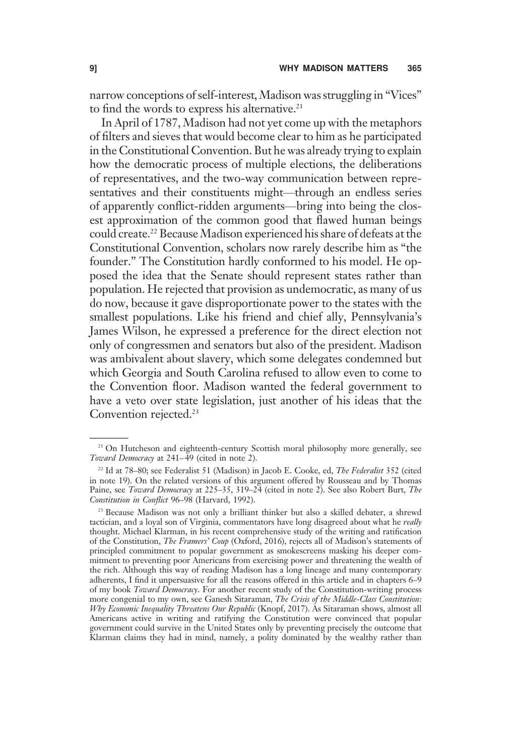narrow conceptions of self-interest, Madison was struggling in "Vices" to find the words to express his alternative.<sup>21</sup>

In April of 1787, Madison had not yet come up with the metaphors of filters and sieves that would become clear to him as he participated in the Constitutional Convention. But he was already trying to explain how the democratic process of multiple elections, the deliberations of representatives, and the two-way communication between representatives and their constituents might—through an endless series of apparently conflict-ridden arguments—bring into being the closest approximation of the common good that flawed human beings could create.<sup>22</sup> Because Madison experienced his share of defeats at the Constitutional Convention, scholars now rarely describe him as "the founder." The Constitution hardly conformed to his model. He opposed the idea that the Senate should represent states rather than population. He rejected that provision as undemocratic, as many of us do now, because it gave disproportionate power to the states with the smallest populations. Like his friend and chief ally, Pennsylvania's James Wilson, he expressed a preference for the direct election not only of congressmen and senators but also of the president. Madison was ambivalent about slavery, which some delegates condemned but which Georgia and South Carolina refused to allow even to come to the Convention floor. Madison wanted the federal government to have a veto over state legislation, just another of his ideas that the Convention rejected.<sup>23</sup>

<sup>&</sup>lt;sup>21</sup> On Hutcheson and eighteenth-century Scottish moral philosophy more generally, see Toward Democracy at 241–49 (cited in note 2).

<sup>&</sup>lt;sup>22</sup> Id at 78-80; see Federalist 51 (Madison) in Jacob E. Cooke, ed, The Federalist 352 (cited in note 19). On the related versions of this argument offered by Rousseau and by Thomas Paine, see Toward Democracy at 225-35, 319-24 (cited in note 2). See also Robert Burt, The Constitution in Conflict 96–98 (Harvard, 1992).

<sup>&</sup>lt;sup>23</sup> Because Madison was not only a brilliant thinker but also a skilled debater, a shrewd tactician, and a loyal son of Virginia, commentators have long disagreed about what he really thought. Michael Klarman, in his recent comprehensive study of the writing and ratification of the Constitution, The Framers' Coup (Oxford, 2016), rejects all of Madison's statements of principled commitment to popular government as smokescreens masking his deeper commitment to preventing poor Americans from exercising power and threatening the wealth of the rich. Although this way of reading Madison has a long lineage and many contemporary adherents, I find it unpersuasive for all the reasons offered in this article and in chapters 6–9 of my book Toward Democracy. For another recent study of the Constitution-writing process more congenial to my own, see Ganesh Sitaraman, The Crisis of the Middle-Class Constitution: Why Economic Inequality Threatens Our Republic (Knopf, 2017). As Sitaraman shows, almost all Americans active in writing and ratifying the Constitution were convinced that popular government could survive in the United States only by preventing precisely the outcome that Klarman claims they had in mind, namely, a polity dominated by the wealthy rather than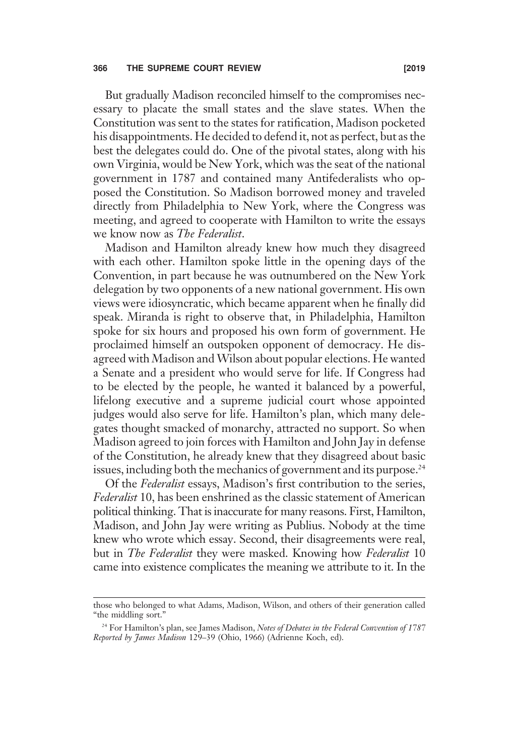## 366 THE SUPREME COURT REVIEW [2019

But gradually Madison reconciled himself to the compromises necessary to placate the small states and the slave states. When the Constitution was sent to the states for ratification, Madison pocketed his disappointments. He decided to defend it, not as perfect, but as the best the delegates could do. One of the pivotal states, along with his own Virginia, would be New York, which was the seat of the national government in 1787 and contained many Antifederalists who opposed the Constitution. So Madison borrowed money and traveled directly from Philadelphia to New York, where the Congress was meeting, and agreed to cooperate with Hamilton to write the essays we know now as The Federalist.

Madison and Hamilton already knew how much they disagreed with each other. Hamilton spoke little in the opening days of the Convention, in part because he was outnumbered on the New York delegation by two opponents of a new national government. His own views were idiosyncratic, which became apparent when he finally did speak. Miranda is right to observe that, in Philadelphia, Hamilton spoke for six hours and proposed his own form of government. He proclaimed himself an outspoken opponent of democracy. He disagreed with Madison and Wilson about popular elections. He wanted a Senate and a president who would serve for life. If Congress had to be elected by the people, he wanted it balanced by a powerful, lifelong executive and a supreme judicial court whose appointed judges would also serve for life. Hamilton's plan, which many delegates thought smacked of monarchy, attracted no support. So when Madison agreed to join forces with Hamilton and John Jay in defense of the Constitution, he already knew that they disagreed about basic issues, including both the mechanics of government and its purpose.<sup>24</sup>

Of the Federalist essays, Madison's first contribution to the series, Federalist 10, has been enshrined as the classic statement of American political thinking. That is inaccurate for many reasons. First, Hamilton, Madison, and John Jay were writing as Publius. Nobody at the time knew who wrote which essay. Second, their disagreements were real, but in The Federalist they were masked. Knowing how Federalist 10 came into existence complicates the meaning we attribute to it. In the

those who belonged to what Adams, Madison, Wilson, and others of their generation called "the middling sort."

<sup>&</sup>lt;sup>24</sup> For Hamilton's plan, see James Madison, Notes of Debates in the Federal Convention of 1787 Reported by James Madison 129–39 (Ohio, 1966) (Adrienne Koch, ed).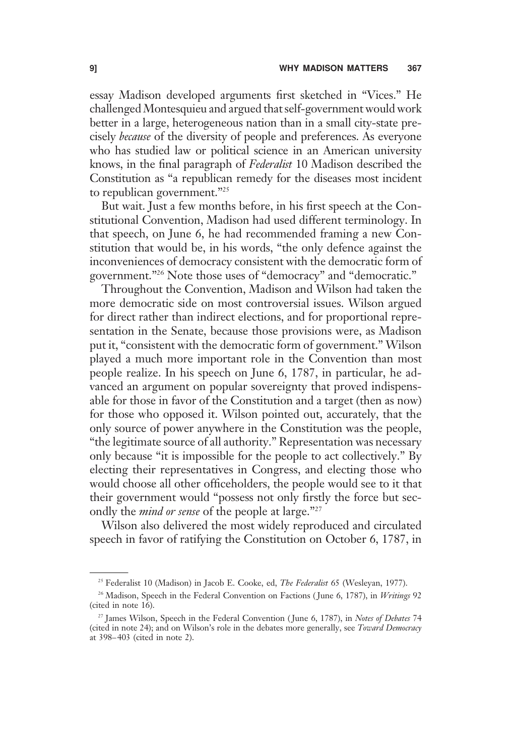essay Madison developed arguments first sketched in "Vices." He challenged Montesquieu and argued that self-government would work better in a large, heterogeneous nation than in a small city-state precisely because of the diversity of people and preferences. As everyone who has studied law or political science in an American university knows, in the final paragraph of Federalist 10 Madison described the Constitution as "a republican remedy for the diseases most incident to republican government."<sup>25</sup>

But wait. Just a few months before, in his first speech at the Constitutional Convention, Madison had used different terminology. In that speech, on June 6, he had recommended framing a new Constitution that would be, in his words, "the only defence against the inconveniences of democracy consistent with the democratic form of government."<sup>26</sup> Note those uses of "democracy" and "democratic."

Throughout the Convention, Madison and Wilson had taken the more democratic side on most controversial issues. Wilson argued for direct rather than indirect elections, and for proportional representation in the Senate, because those provisions were, as Madison put it, "consistent with the democratic form of government." Wilson played a much more important role in the Convention than most people realize. In his speech on June 6, 1787, in particular, he advanced an argument on popular sovereignty that proved indispensable for those in favor of the Constitution and a target (then as now) for those who opposed it. Wilson pointed out, accurately, that the only source of power anywhere in the Constitution was the people, "the legitimate source of all authority." Representation was necessary only because "it is impossible for the people to act collectively." By electing their representatives in Congress, and electing those who would choose all other officeholders, the people would see to it that their government would "possess not only firstly the force but secondly the *mind or sense* of the people at large."<sup>27</sup>

Wilson also delivered the most widely reproduced and circulated speech in favor of ratifying the Constitution on October 6, 1787, in

<sup>&</sup>lt;sup>25</sup> Federalist 10 (Madison) in Jacob E. Cooke, ed, The Federalist 65 (Wesleyan, 1977).

<sup>&</sup>lt;sup>26</sup> Madison, Speech in the Federal Convention on Factions (June 6, 1787), in Writings 92 (cited in note  $16$ ).

<sup>&</sup>lt;sup>27</sup> James Wilson, Speech in the Federal Convention (June 6, 1787), in Notes of Debates 74 (cited in note 24); and on Wilson's role in the debates more generally, see Toward Democracy at 398–403 (cited in note 2).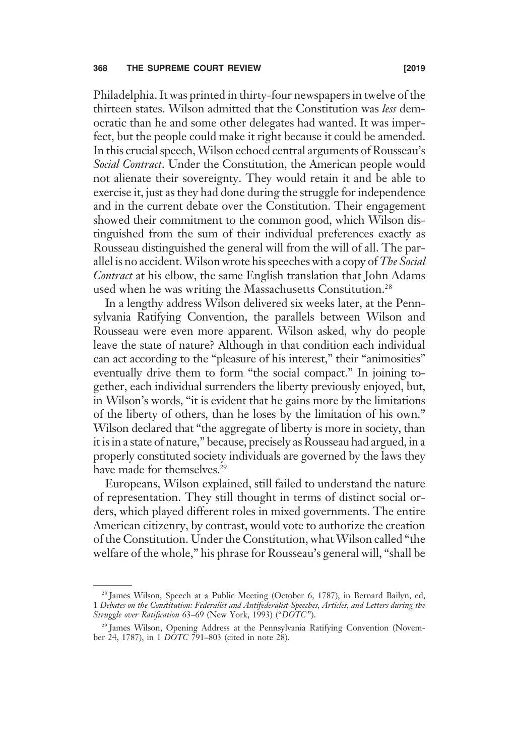Philadelphia. It was printed in thirty-four newspapers in twelve of the thirteen states. Wilson admitted that the Constitution was less democratic than he and some other delegates had wanted. It was imperfect, but the people could make it right because it could be amended. In this crucial speech,Wilson echoed central arguments of Rousseau's Social Contract. Under the Constitution, the American people would not alienate their sovereignty. They would retain it and be able to exercise it, just as they had done during the struggle for independence and in the current debate over the Constitution. Their engagement showed their commitment to the common good, which Wilson distinguished from the sum of their individual preferences exactly as Rousseau distinguished the general will from the will of all. The parallel is no accident.Wilson wrote his speeches with a copy of The Social Contract at his elbow, the same English translation that John Adams used when he was writing the Massachusetts Constitution.<sup>28</sup>

In a lengthy address Wilson delivered six weeks later, at the Pennsylvania Ratifying Convention, the parallels between Wilson and Rousseau were even more apparent. Wilson asked, why do people leave the state of nature? Although in that condition each individual can act according to the "pleasure of his interest," their "animosities" eventually drive them to form "the social compact." In joining together, each individual surrenders the liberty previously enjoyed, but, in Wilson's words, "it is evident that he gains more by the limitations of the liberty of others, than he loses by the limitation of his own." Wilson declared that "the aggregate of liberty is more in society, than it is in a state of nature," because, precisely as Rousseau had argued, in a properly constituted society individuals are governed by the laws they have made for themselves.<sup>29</sup>

Europeans, Wilson explained, still failed to understand the nature of representation. They still thought in terms of distinct social orders, which played different roles in mixed governments. The entire American citizenry, by contrast, would vote to authorize the creation of the Constitution. Under the Constitution, what Wilson called "the welfare of the whole," his phrase for Rousseau's general will, "shall be

<sup>&</sup>lt;sup>28</sup> James Wilson, Speech at a Public Meeting (October 6, 1787), in Bernard Bailyn, ed, 1 Debates on the Constitution: Federalist and Antifederalist Speeches, Articles, and Letters during the Struggle over Ratification 63-69 (New York, 1993) ("DOTC").

<sup>&</sup>lt;sup>29</sup> James Wilson, Opening Address at the Pennsylvania Ratifying Convention (November 24, 1787), in 1 DOTC 791–803 (cited in note 28).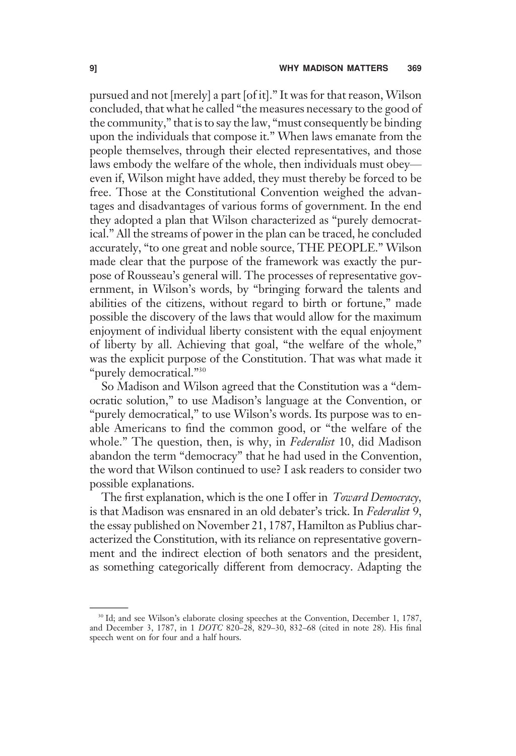pursued and not [merely] a part [of it]." It was for that reason, Wilson concluded, that what he called "the measures necessary to the good of the community," that is to say the law, "must consequently be binding upon the individuals that compose it." When laws emanate from the people themselves, through their elected representatives, and those laws embody the welfare of the whole, then individuals must obey even if, Wilson might have added, they must thereby be forced to be free. Those at the Constitutional Convention weighed the advantages and disadvantages of various forms of government. In the end they adopted a plan that Wilson characterized as "purely democratical." All the streams of power in the plan can be traced, he concluded accurately, "to one great and noble source, THE PEOPLE." Wilson made clear that the purpose of the framework was exactly the purpose of Rousseau's general will. The processes of representative government, in Wilson's words, by "bringing forward the talents and abilities of the citizens, without regard to birth or fortune," made possible the discovery of the laws that would allow for the maximum enjoyment of individual liberty consistent with the equal enjoyment of liberty by all. Achieving that goal, "the welfare of the whole," was the explicit purpose of the Constitution. That was what made it "purely democratical."<sup>30</sup>

So Madison and Wilson agreed that the Constitution was a "democratic solution," to use Madison's language at the Convention, or "purely democratical," to use Wilson's words. Its purpose was to enable Americans to find the common good, or "the welfare of the whole." The question, then, is why, in Federalist 10, did Madison abandon the term "democracy" that he had used in the Convention, the word that Wilson continued to use? I ask readers to consider two possible explanations.

The first explanation, which is the one I offer in *Toward Democracy*, is that Madison was ensnared in an old debater's trick. In Federalist 9, the essay published on November 21, 1787, Hamilton as Publius characterized the Constitution, with its reliance on representative government and the indirect election of both senators and the president, as something categorically different from democracy. Adapting the

<sup>&</sup>lt;sup>30</sup> Id; and see Wilson's elaborate closing speeches at the Convention, December 1, 1787, and December 3, 1787, in 1 DOTC 820–28, 829–30, 832–68 (cited in note 28). His final speech went on for four and a half hours.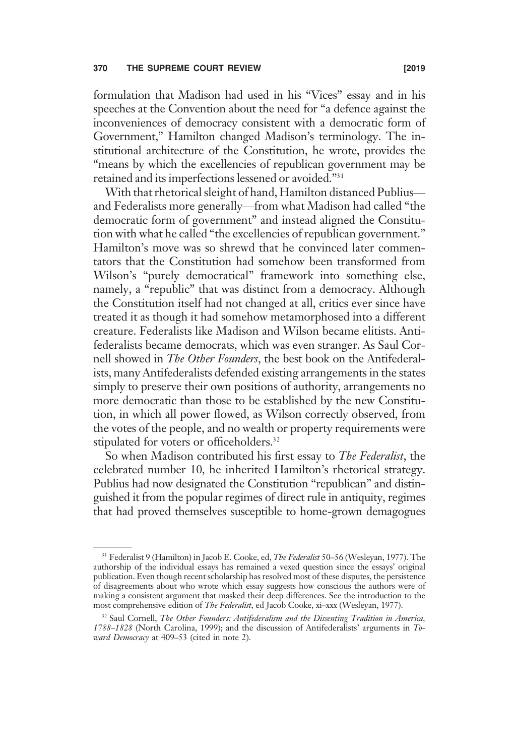formulation that Madison had used in his "Vices" essay and in his speeches at the Convention about the need for "a defence against the inconveniences of democracy consistent with a democratic form of Government," Hamilton changed Madison's terminology. The institutional architecture of the Constitution, he wrote, provides the "means by which the excellencies of republican government may be retained and its imperfections lessened or avoided."<sup>31</sup>

With that rhetorical sleight of hand, Hamilton distanced Publius and Federalists more generally—from what Madison had called "the democratic form of government" and instead aligned the Constitution with what he called "the excellencies of republican government." Hamilton's move was so shrewd that he convinced later commentators that the Constitution had somehow been transformed from Wilson's "purely democratical" framework into something else, namely, a "republic" that was distinct from a democracy. Although the Constitution itself had not changed at all, critics ever since have treated it as though it had somehow metamorphosed into a different creature. Federalists like Madison and Wilson became elitists. Antifederalists became democrats, which was even stranger. As Saul Cornell showed in The Other Founders, the best book on the Antifederalists, many Antifederalists defended existing arrangements in the states simply to preserve their own positions of authority, arrangements no more democratic than those to be established by the new Constitution, in which all power flowed, as Wilson correctly observed, from the votes of the people, and no wealth or property requirements were stipulated for voters or officeholders.<sup>32</sup>

So when Madison contributed his first essay to The Federalist, the celebrated number 10, he inherited Hamilton's rhetorical strategy. Publius had now designated the Constitution "republican" and distinguished it from the popular regimes of direct rule in antiquity, regimes that had proved themselves susceptible to home-grown demagogues

<sup>&</sup>lt;sup>31</sup> Federalist 9 (Hamilton) in Jacob E. Cooke, ed, The Federalist 50-56 (Wesleyan, 1977). The authorship of the individual essays has remained a vexed question since the essays' original publication. Even though recent scholarship has resolved most of these disputes, the persistence of disagreements about who wrote which essay suggests how conscious the authors were of making a consistent argument that masked their deep differences. See the introduction to the most comprehensive edition of The Federalist, ed Jacob Cooke, xi–xxx (Wesleyan, 1977).

<sup>&</sup>lt;sup>32</sup> Saul Cornell, The Other Founders: Antifederalism and the Dissenting Tradition in America, 1788–1828 (North Carolina, 1999); and the discussion of Antifederalists' arguments in Toward Democracy at 409–53 (cited in note 2).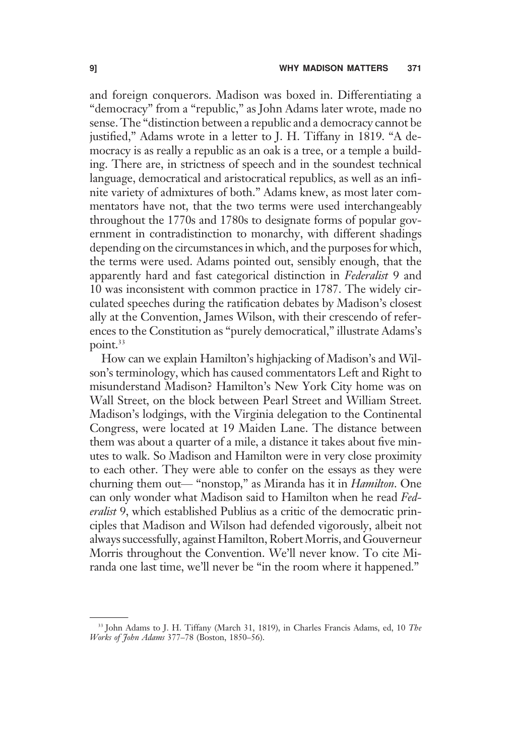and foreign conquerors. Madison was boxed in. Differentiating a "democracy" from a "republic," as John Adams later wrote, made no sense. The "distinction between a republic and a democracy cannot be justified," Adams wrote in a letter to J. H. Tiffany in 1819. "A democracy is as really a republic as an oak is a tree, or a temple a building. There are, in strictness of speech and in the soundest technical language, democratical and aristocratical republics, as well as an infinite variety of admixtures of both." Adams knew, as most later commentators have not, that the two terms were used interchangeably throughout the 1770s and 1780s to designate forms of popular government in contradistinction to monarchy, with different shadings depending on the circumstances in which, and the purposes for which, the terms were used. Adams pointed out, sensibly enough, that the apparently hard and fast categorical distinction in Federalist 9 and 10 was inconsistent with common practice in 1787. The widely circulated speeches during the ratification debates by Madison's closest ally at the Convention, James Wilson, with their crescendo of references to the Constitution as "purely democratical," illustrate Adams's point.<sup>33</sup>

How can we explain Hamilton's highjacking of Madison's and Wilson's terminology, which has caused commentators Left and Right to misunderstand Madison? Hamilton's New York City home was on Wall Street, on the block between Pearl Street and William Street. Madison's lodgings, with the Virginia delegation to the Continental Congress, were located at 19 Maiden Lane. The distance between them was about a quarter of a mile, a distance it takes about five minutes to walk. So Madison and Hamilton were in very close proximity to each other. They were able to confer on the essays as they were churning them out— "nonstop," as Miranda has it in Hamilton. One can only wonder what Madison said to Hamilton when he read Federalist 9, which established Publius as a critic of the democratic principles that Madison and Wilson had defended vigorously, albeit not always successfully, against Hamilton, Robert Morris, and Gouverneur Morris throughout the Convention. We'll never know. To cite Miranda one last time, we'll never be "in the room where it happened."

<sup>&</sup>lt;sup>33</sup> John Adams to J. H. Tiffany (March 31, 1819), in Charles Francis Adams, ed, 10 The Works of John Adams 377–78 (Boston, 1850–56).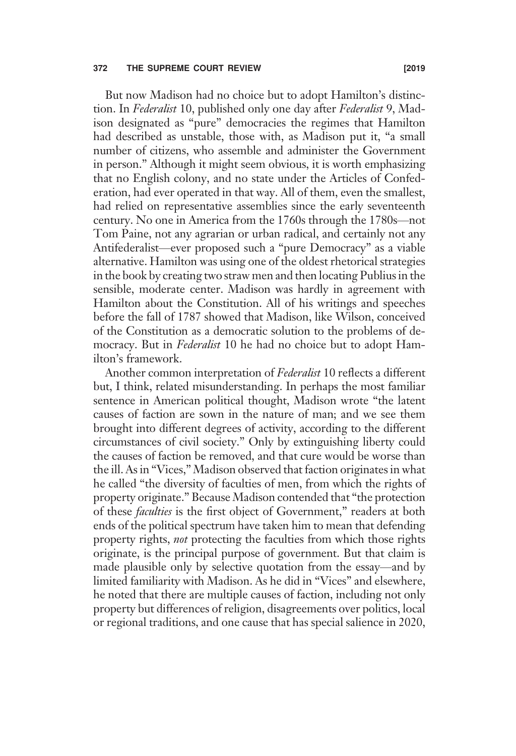# 372 THE SUPREME COURT REVIEW [2019

But now Madison had no choice but to adopt Hamilton's distinction. In Federalist 10, published only one day after Federalist 9, Madison designated as "pure" democracies the regimes that Hamilton had described as unstable, those with, as Madison put it, "a small number of citizens, who assemble and administer the Government in person." Although it might seem obvious, it is worth emphasizing that no English colony, and no state under the Articles of Confederation, had ever operated in that way. All of them, even the smallest, had relied on representative assemblies since the early seventeenth century. No one in America from the 1760s through the 1780s—not Tom Paine, not any agrarian or urban radical, and certainly not any Antifederalist—ever proposed such a "pure Democracy" as a viable alternative. Hamilton was using one of the oldest rhetorical strategies in the book by creating two straw men and then locating Publius in the sensible, moderate center. Madison was hardly in agreement with Hamilton about the Constitution. All of his writings and speeches before the fall of 1787 showed that Madison, like Wilson, conceived of the Constitution as a democratic solution to the problems of democracy. But in Federalist 10 he had no choice but to adopt Hamilton's framework.

Another common interpretation of *Federalist* 10 reflects a different but, I think, related misunderstanding. In perhaps the most familiar sentence in American political thought, Madison wrote "the latent causes of faction are sown in the nature of man; and we see them brought into different degrees of activity, according to the different circumstances of civil society." Only by extinguishing liberty could the causes of faction be removed, and that cure would be worse than the ill. As in "Vices," Madison observed that faction originates in what he called "the diversity of faculties of men, from which the rights of property originate." Because Madison contended that "the protection of these faculties is the first object of Government," readers at both ends of the political spectrum have taken him to mean that defending property rights, *not* protecting the faculties from which those rights originate, is the principal purpose of government. But that claim is made plausible only by selective quotation from the essay—and by limited familiarity with Madison. As he did in "Vices" and elsewhere, he noted that there are multiple causes of faction, including not only property but differences of religion, disagreements over politics, local or regional traditions, and one cause that has special salience in 2020,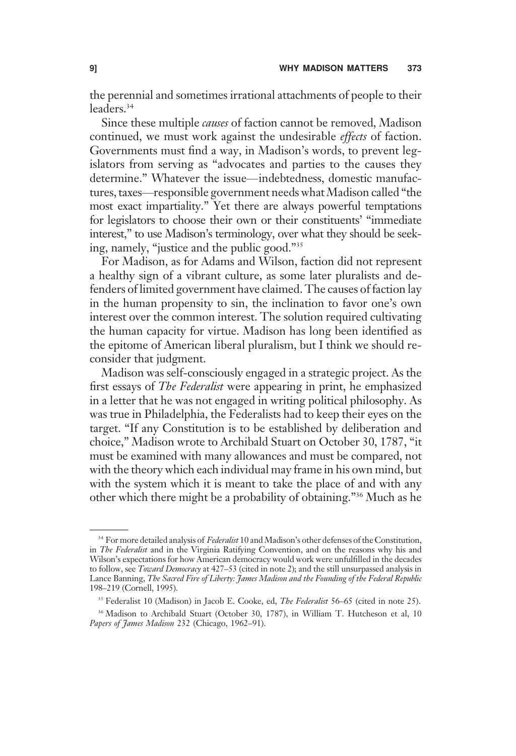the perennial and sometimes irrational attachments of people to their leaders.34

Since these multiple *causes* of faction cannot be removed, Madison continued, we must work against the undesirable effects of faction. Governments must find a way, in Madison's words, to prevent legislators from serving as "advocates and parties to the causes they determine." Whatever the issue—indebtedness, domestic manufactures, taxes—responsible government needs what Madison called "the most exact impartiality." Yet there are always powerful temptations for legislators to choose their own or their constituents' "immediate interest," to use Madison's terminology, over what they should be seeking, namely, "justice and the public good."<sup>35</sup>

For Madison, as for Adams and Wilson, faction did not represent a healthy sign of a vibrant culture, as some later pluralists and defenders of limited government have claimed. The causes of faction lay in the human propensity to sin, the inclination to favor one's own interest over the common interest. The solution required cultivating the human capacity for virtue. Madison has long been identified as the epitome of American liberal pluralism, but I think we should reconsider that judgment.

Madison was self-consciously engaged in a strategic project. As the first essays of The Federalist were appearing in print, he emphasized in a letter that he was not engaged in writing political philosophy. As was true in Philadelphia, the Federalists had to keep their eyes on the target. "If any Constitution is to be established by deliberation and choice," Madison wrote to Archibald Stuart on October 30, 1787, "it must be examined with many allowances and must be compared, not with the theory which each individual may frame in his own mind, but with the system which it is meant to take the place of and with any other which there might be a probability of obtaining."<sup>36</sup> Much as he

<sup>&</sup>lt;sup>34</sup> For more detailed analysis of Federalist 10 and Madison's other defenses of the Constitution, in The Federalist and in the Virginia Ratifying Convention, and on the reasons why his and Wilson's expectations for how American democracy would work were unfulfilled in the decades to follow, see *Toward Democracy* at  $427-53$  (cited in note 2); and the still unsurpassed analysis in Lance Banning, The Sacred Fire of Liberty: James Madison and the Founding of the Federal Republic 198–219 (Cornell, 1995).

<sup>&</sup>lt;sup>35</sup> Federalist 10 (Madison) in Jacob E. Cooke, ed, The Federalist 56-65 (cited in note 25).

<sup>36</sup> Madison to Archibald Stuart (October 30, 1787), in William T. Hutcheson et al, 10 Papers of James Madison 232 (Chicago, 1962-91).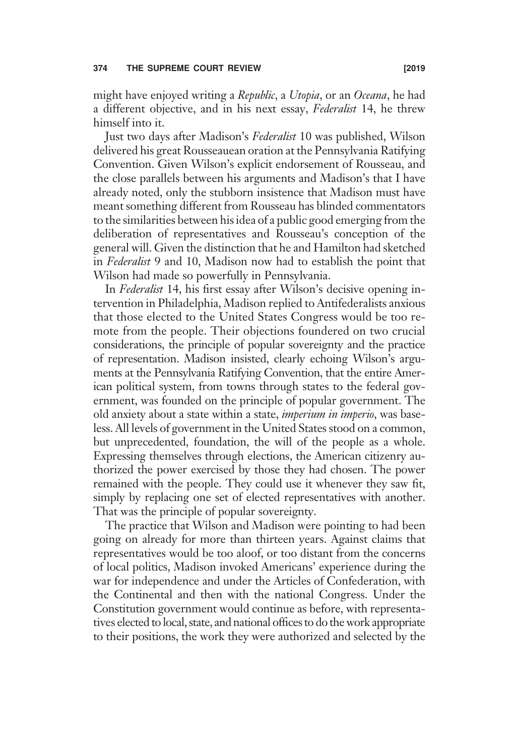might have enjoyed writing a Republic, a Utopia, or an Oceana, he had a different objective, and in his next essay, Federalist 14, he threw himself into it.

Just two days after Madison's Federalist 10 was published, Wilson delivered his great Rousseauean oration at the Pennsylvania Ratifying Convention. Given Wilson's explicit endorsement of Rousseau, and the close parallels between his arguments and Madison's that I have already noted, only the stubborn insistence that Madison must have meant something different from Rousseau has blinded commentators to the similarities between his idea of a public good emerging from the deliberation of representatives and Rousseau's conception of the general will. Given the distinction that he and Hamilton had sketched in Federalist 9 and 10, Madison now had to establish the point that Wilson had made so powerfully in Pennsylvania.

In Federalist 14, his first essay after Wilson's decisive opening intervention in Philadelphia, Madison replied to Antifederalists anxious that those elected to the United States Congress would be too remote from the people. Their objections foundered on two crucial considerations, the principle of popular sovereignty and the practice of representation. Madison insisted, clearly echoing Wilson's arguments at the Pennsylvania Ratifying Convention, that the entire American political system, from towns through states to the federal government, was founded on the principle of popular government. The old anxiety about a state within a state, *imperium in imperio*, was baseless. All levels of government in the United States stood on a common, but unprecedented, foundation, the will of the people as a whole. Expressing themselves through elections, the American citizenry authorized the power exercised by those they had chosen. The power remained with the people. They could use it whenever they saw fit, simply by replacing one set of elected representatives with another. That was the principle of popular sovereignty.

The practice that Wilson and Madison were pointing to had been going on already for more than thirteen years. Against claims that representatives would be too aloof, or too distant from the concerns of local politics, Madison invoked Americans' experience during the war for independence and under the Articles of Confederation, with the Continental and then with the national Congress. Under the Constitution government would continue as before, with representatives elected to local, state, and national offices to do the work appropriate to their positions, the work they were authorized and selected by the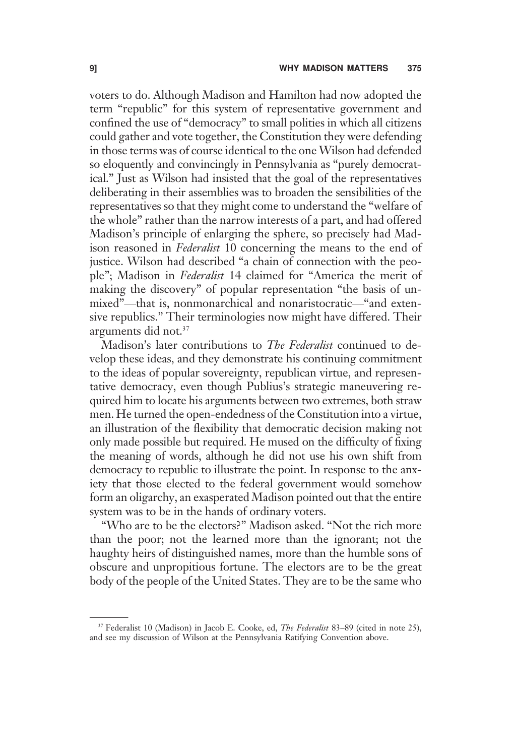voters to do. Although Madison and Hamilton had now adopted the term "republic" for this system of representative government and confined the use of "democracy" to small polities in which all citizens could gather and vote together, the Constitution they were defending in those terms was of course identical to the one Wilson had defended so eloquently and convincingly in Pennsylvania as "purely democratical." Just as Wilson had insisted that the goal of the representatives deliberating in their assemblies was to broaden the sensibilities of the representatives so that they might come to understand the "welfare of the whole" rather than the narrow interests of a part, and had offered Madison's principle of enlarging the sphere, so precisely had Madison reasoned in Federalist 10 concerning the means to the end of justice. Wilson had described "a chain of connection with the people"; Madison in Federalist 14 claimed for "America the merit of making the discovery" of popular representation "the basis of unmixed"—that is, nonmonarchical and nonaristocratic—"and extensive republics." Their terminologies now might have differed. Their arguments did not.37

Madison's later contributions to *The Federalist* continued to develop these ideas, and they demonstrate his continuing commitment to the ideas of popular sovereignty, republican virtue, and representative democracy, even though Publius's strategic maneuvering required him to locate his arguments between two extremes, both straw men. He turned the open-endedness of the Constitution into a virtue, an illustration of the flexibility that democratic decision making not only made possible but required. He mused on the difficulty of fixing the meaning of words, although he did not use his own shift from democracy to republic to illustrate the point. In response to the anxiety that those elected to the federal government would somehow form an oligarchy, an exasperated Madison pointed out that the entire system was to be in the hands of ordinary voters.

"Who are to be the electors?" Madison asked. "Not the rich more than the poor; not the learned more than the ignorant; not the haughty heirs of distinguished names, more than the humble sons of obscure and unpropitious fortune. The electors are to be the great body of the people of the United States. They are to be the same who

<sup>&</sup>lt;sup>37</sup> Federalist 10 (Madison) in Jacob E. Cooke, ed, The Federalist 83-89 (cited in note 25), and see my discussion of Wilson at the Pennsylvania Ratifying Convention above.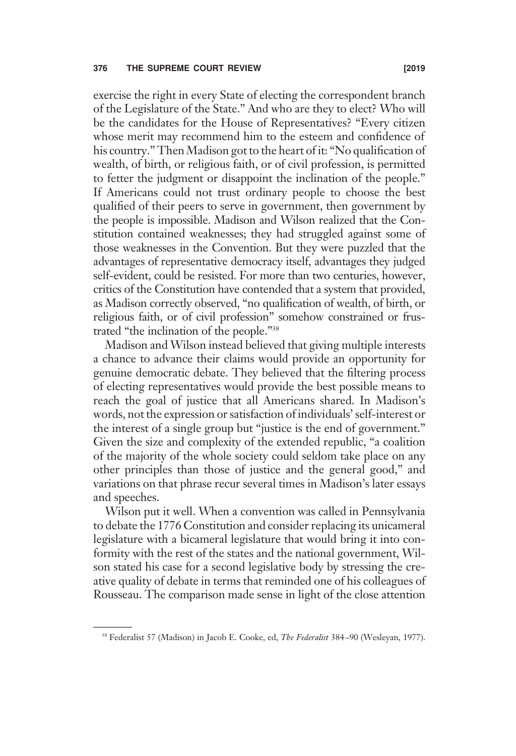exercise the right in every State of electing the correspondent branch of the Legislature of the State." And who are they to elect? Who will be the candidates for the House of Representatives? "Every citizen whose merit may recommend him to the esteem and confidence of his country." Then Madison got to the heart of it: "No qualification of wealth, of birth, or religious faith, or of civil profession, is permitted to fetter the judgment or disappoint the inclination of the people." If Americans could not trust ordinary people to choose the best qualified of their peers to serve in government, then government by the people is impossible. Madison and Wilson realized that the Constitution contained weaknesses; they had struggled against some of those weaknesses in the Convention. But they were puzzled that the advantages of representative democracy itself, advantages they judged self-evident, could be resisted. For more than two centuries, however, critics of the Constitution have contended that a system that provided, as Madison correctly observed, "no qualification of wealth, of birth, or religious faith, or of civil profession" somehow constrained or frustrated "the inclination of the people."<sup>38</sup>

Madison and Wilson instead believed that giving multiple interests a chance to advance their claims would provide an opportunity for genuine democratic debate. They believed that the filtering process of electing representatives would provide the best possible means to reach the goal of justice that all Americans shared. In Madison's words, not the expression or satisfaction of individuals' self-interest or the interest of a single group but "justice is the end of government." Given the size and complexity of the extended republic, "a coalition of the majority of the whole society could seldom take place on any other principles than those of justice and the general good," and variations on that phrase recur several times in Madison's later essays and speeches.

Wilson put it well. When a convention was called in Pennsylvania to debate the 1776 Constitution and consider replacing its unicameral legislature with a bicameral legislature that would bring it into conformity with the rest of the states and the national government, Wilson stated his case for a second legislative body by stressing the creative quality of debate in terms that reminded one of his colleagues of Rousseau. The comparison made sense in light of the close attention

<sup>&</sup>lt;sup>38</sup> Federalist 57 (Madison) in Jacob E. Cooke, ed, *The Federalist* 384–90 (Wesleyan, 1977).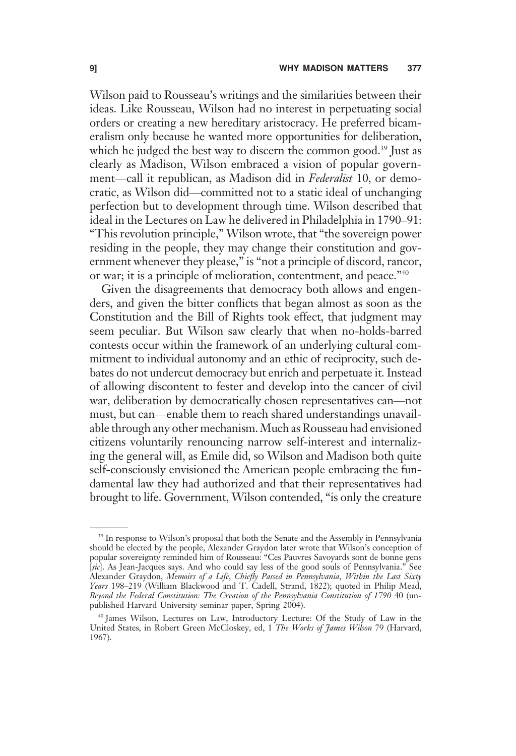Wilson paid to Rousseau's writings and the similarities between their ideas. Like Rousseau, Wilson had no interest in perpetuating social orders or creating a new hereditary aristocracy. He preferred bicameralism only because he wanted more opportunities for deliberation, which he judged the best way to discern the common good.<sup>39</sup> Just as clearly as Madison, Wilson embraced a vision of popular government—call it republican, as Madison did in Federalist 10, or democratic, as Wilson did—committed not to a static ideal of unchanging perfection but to development through time. Wilson described that ideal in the Lectures on Law he delivered in Philadelphia in 1790–91: "This revolution principle," Wilson wrote, that "the sovereign power residing in the people, they may change their constitution and government whenever they please," is "not a principle of discord, rancor, or war; it is a principle of melioration, contentment, and peace."<sup>40</sup>

Given the disagreements that democracy both allows and engenders, and given the bitter conflicts that began almost as soon as the Constitution and the Bill of Rights took effect, that judgment may seem peculiar. But Wilson saw clearly that when no-holds-barred contests occur within the framework of an underlying cultural commitment to individual autonomy and an ethic of reciprocity, such debates do not undercut democracy but enrich and perpetuate it. Instead of allowing discontent to fester and develop into the cancer of civil war, deliberation by democratically chosen representatives can—not must, but can—enable them to reach shared understandings unavailable through any other mechanism. Much as Rousseau had envisioned citizens voluntarily renouncing narrow self-interest and internalizing the general will, as Emile did, so Wilson and Madison both quite self-consciously envisioned the American people embracing the fundamental law they had authorized and that their representatives had brought to life. Government, Wilson contended, "is only the creature

<sup>&</sup>lt;sup>39</sup> In response to Wilson's proposal that both the Senate and the Assembly in Pennsylvania should be elected by the people, Alexander Graydon later wrote that Wilson's conception of popular sovereignty reminded him of Rousseau: "Ces Pauvres Savoyards sont de bonne gens [sic]. As Jean-Jacques says. And who could say less of the good souls of Pennsylvania." See Alexander Graydon, Memoirs of a Life, Chiefly Passed in Pennsylvania, Within the Last Sixty Years 198-219 (William Blackwood and T. Cadell, Strand, 1822); quoted in Philip Mead, Beyond the Federal Constitution: The Creation of the Pennsylvania Constitution of 1790 40 (unpublished Harvard University seminar paper, Spring 2004).

<sup>40</sup> James Wilson, Lectures on Law, Introductory Lecture: Of the Study of Law in the United States, in Robert Green McCloskey, ed, 1 The Works of James Wilson 79 (Harvard, 1967).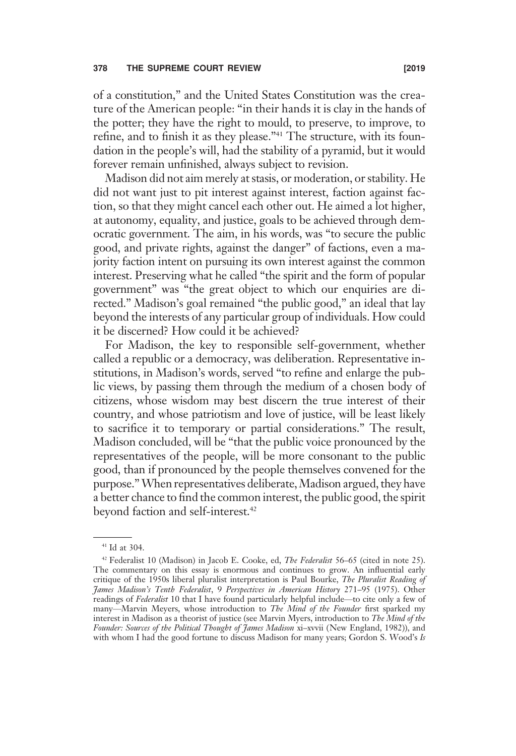of a constitution," and the United States Constitution was the creature of the American people: "in their hands it is clay in the hands of the potter; they have the right to mould, to preserve, to improve, to refine, and to finish it as they please."<sup>41</sup> The structure, with its foundation in the people's will, had the stability of a pyramid, but it would forever remain unfinished, always subject to revision.

Madison did not aim merely at stasis, or moderation, or stability. He did not want just to pit interest against interest, faction against faction, so that they might cancel each other out. He aimed a lot higher, at autonomy, equality, and justice, goals to be achieved through democratic government. The aim, in his words, was "to secure the public good, and private rights, against the danger" of factions, even a majority faction intent on pursuing its own interest against the common interest. Preserving what he called "the spirit and the form of popular government" was "the great object to which our enquiries are directed." Madison's goal remained "the public good," an ideal that lay beyond the interests of any particular group of individuals. How could it be discerned? How could it be achieved?

For Madison, the key to responsible self-government, whether called a republic or a democracy, was deliberation. Representative institutions, in Madison's words, served "to refine and enlarge the public views, by passing them through the medium of a chosen body of citizens, whose wisdom may best discern the true interest of their country, and whose patriotism and love of justice, will be least likely to sacrifice it to temporary or partial considerations." The result, Madison concluded, will be "that the public voice pronounced by the representatives of the people, will be more consonant to the public good, than if pronounced by the people themselves convened for the purpose."When representatives deliberate,Madison argued, they have a better chance to find the common interest, the public good, the spirit beyond faction and self-interest.<sup>42</sup>

<sup>41</sup> Id at 304.

<sup>&</sup>lt;sup>42</sup> Federalist 10 (Madison) in Jacob E. Cooke, ed, The Federalist 56-65 (cited in note 25). The commentary on this essay is enormous and continues to grow. An influential early critique of the 1950s liberal pluralist interpretation is Paul Bourke, The Pluralist Reading of James Madison's Tenth Federalist, 9 Perspectives in American History 271–95 (1975). Other readings of Federalist 10 that I have found particularly helpful include—to cite only a few of many-Marvin Meyers, whose introduction to The Mind of the Founder first sparked my interest in Madison as a theorist of justice (see Marvin Myers, introduction to The Mind of the Founder: Sources of the Political Thought of James Madison xi-xvvii (New England, 1982)), and with whom I had the good fortune to discuss Madison for many years; Gordon S. Wood's Is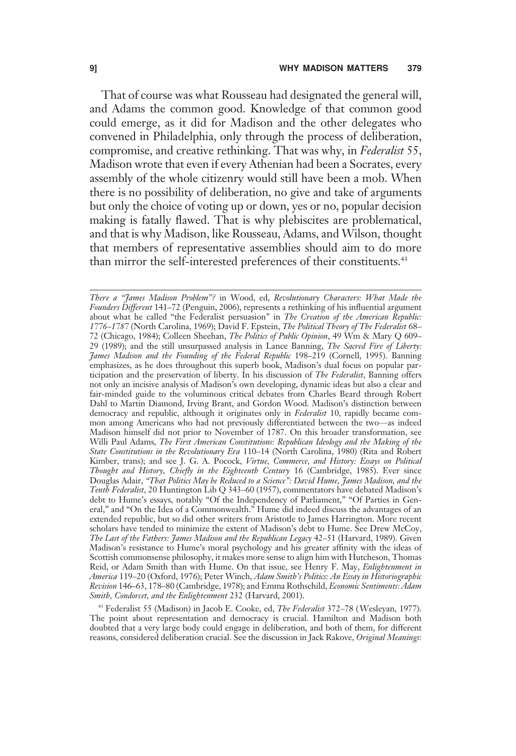That of course was what Rousseau had designated the general will, and Adams the common good. Knowledge of that common good could emerge, as it did for Madison and the other delegates who convened in Philadelphia, only through the process of deliberation, compromise, and creative rethinking. That was why, in Federalist 55, Madison wrote that even if every Athenian had been a Socrates, every assembly of the whole citizenry would still have been a mob. When there is no possibility of deliberation, no give and take of arguments but only the choice of voting up or down, yes or no, popular decision making is fatally flawed. That is why plebiscites are problematical, and that is why Madison, like Rousseau, Adams, and Wilson, thought that members of representative assemblies should aim to do more than mirror the self-interested preferences of their constituents.<sup>43</sup>

There a "James Madison Problem"? in Wood, ed, Revolutionary Characters: What Made the Founders Different 141-72 (Penguin, 2006), represents a rethinking of his influential argument about what he called "the Federalist persuasion" in The Creation of the American Republic: 1776–1787 (North Carolina, 1969); David F. Epstein, The Political Theory of The Federalist 68– 72 (Chicago, 1984); Colleen Sheehan, The Politics of Public Opinion, 49 Wm & Mary Q 609-29 (1989); and the still unsurpassed analysis in Lance Banning, The Sacred Fire of Liberty: James Madison and the Founding of the Federal Republic 198–219 (Cornell, 1995). Banning emphasizes, as he does throughout this superb book, Madison's dual focus on popular participation and the preservation of liberty. In his discussion of The Federalist, Banning offers not only an incisive analysis of Madison's own developing, dynamic ideas but also a clear and fair-minded guide to the voluminous critical debates from Charles Beard through Robert Dahl to Martin Diamond, Irving Brant, and Gordon Wood. Madison's distinction between democracy and republic, although it originates only in *Federalist* 10, rapidly became common among Americans who had not previously differentiated between the two—as indeed Madison himself did not prior to November of 1787. On this broader transformation, see Willi Paul Adams, The First American Constitutions: Republican Ideology and the Making of the State Constitutions in the Revolutionary Era 110-14 (North Carolina, 1980) (Rita and Robert Kimber, trans); and see J. G. A. Pocock, Virtue, Commerce, and History: Essays on Political Thought and History, Chiefly in the Eighteenth Century 16 (Cambridge, 1985). Ever since Douglas Adair, "That Politics May be Reduced to a Science": David Hume, James Madison, and the Tenth Federalist, 20 Huntington Lib Q 343-60 (1957), commentators have debated Madison's debt to Hume's essays, notably "Of the Independency of Parliament," "Of Parties in General," and "On the Idea of a Commonwealth." Hume did indeed discuss the advantages of an extended republic, but so did other writers from Aristotle to James Harrington. More recent scholars have tended to minimize the extent of Madison's debt to Hume. See Drew McCoy, The Last of the Fathers: James Madison and the Republican Legacy 42-51 (Harvard, 1989). Given Madison's resistance to Hume's moral psychology and his greater affinity with the ideas of Scottish commonsense philosophy, it makes more sense to align him with Hutcheson, Thomas Reid, or Adam Smith than with Hume. On that issue, see Henry F. May, Enlightenment in America 119–20 (Oxford, 1976); Peter Winch, Adam Smith's Politics: An Essay in Historiographic Revision 146–63, 178–80 (Cambridge, 1978); and Emma Rothschild, Economic Sentiments: Adam Smith, Condorcet, and the Enlightenment 232 (Harvard, 2001).

<sup>43</sup> Federalist 55 (Madison) in Jacob E. Cooke, ed, The Federalist 372–78 (Wesleyan, 1977). The point about representation and democracy is crucial. Hamilton and Madison both doubted that a very large body could engage in deliberation, and both of them, for different reasons, considered deliberation crucial. See the discussion in Jack Rakove, Original Meanings: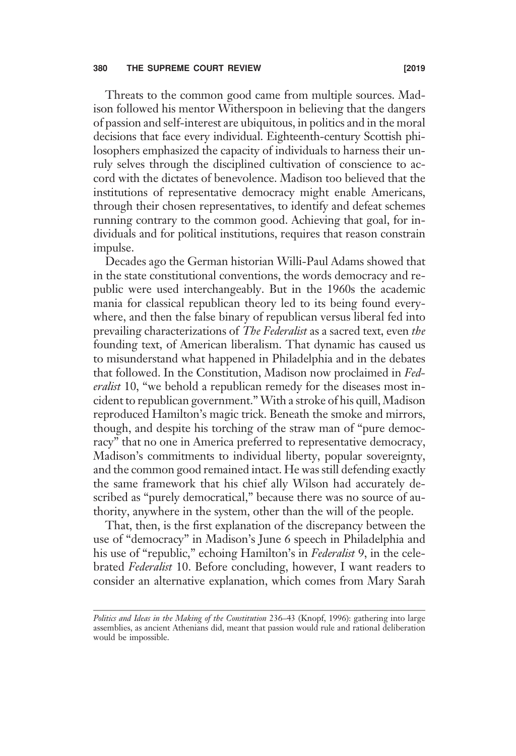# 380 THE SUPREME COURT REVIEW **EXAMPLE 2019** [2019]

Threats to the common good came from multiple sources. Madison followed his mentor Witherspoon in believing that the dangers of passion and self-interest are ubiquitous, in politics and in the moral decisions that face every individual. Eighteenth-century Scottish philosophers emphasized the capacity of individuals to harness their unruly selves through the disciplined cultivation of conscience to accord with the dictates of benevolence. Madison too believed that the institutions of representative democracy might enable Americans, through their chosen representatives, to identify and defeat schemes running contrary to the common good. Achieving that goal, for individuals and for political institutions, requires that reason constrain impulse.

Decades ago the German historian Willi-Paul Adams showed that in the state constitutional conventions, the words democracy and republic were used interchangeably. But in the 1960s the academic mania for classical republican theory led to its being found everywhere, and then the false binary of republican versus liberal fed into prevailing characterizations of The Federalist as a sacred text, even the founding text, of American liberalism. That dynamic has caused us to misunderstand what happened in Philadelphia and in the debates that followed. In the Constitution, Madison now proclaimed in Federalist 10, "we behold a republican remedy for the diseases most incident to republican government." With a stroke of his quill, Madison reproduced Hamilton's magic trick. Beneath the smoke and mirrors, though, and despite his torching of the straw man of "pure democracy" that no one in America preferred to representative democracy, Madison's commitments to individual liberty, popular sovereignty, and the common good remained intact. He was still defending exactly the same framework that his chief ally Wilson had accurately described as "purely democratical," because there was no source of authority, anywhere in the system, other than the will of the people.

That, then, is the first explanation of the discrepancy between the use of "democracy" in Madison's June 6 speech in Philadelphia and his use of "republic," echoing Hamilton's in Federalist 9, in the celebrated Federalist 10. Before concluding, however, I want readers to consider an alternative explanation, which comes from Mary Sarah

Politics and Ideas in the Making of the Constitution 236–43 (Knopf, 1996): gathering into large assemblies, as ancient Athenians did, meant that passion would rule and rational deliberation would be impossible.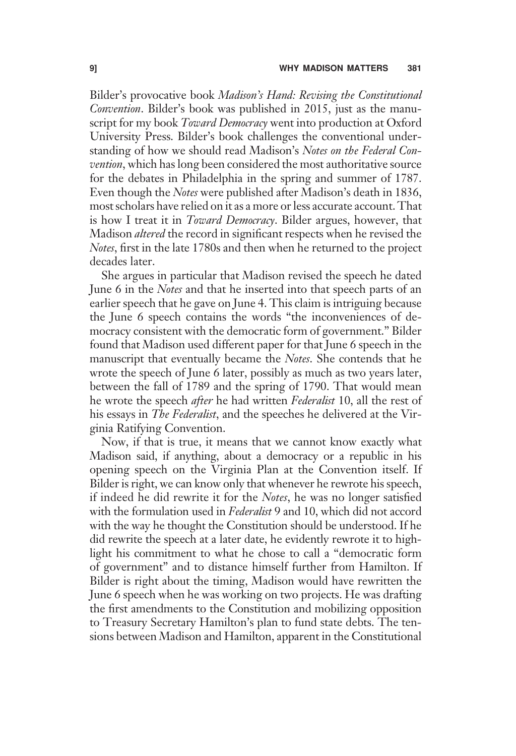Bilder's provocative book Madison's Hand: Revising the Constitutional Convention. Bilder's book was published in 2015, just as the manuscript for my book *Toward Democracy* went into production at Oxford University Press. Bilder's book challenges the conventional understanding of how we should read Madison's Notes on the Federal Convention, which has long been considered the most authoritative source for the debates in Philadelphia in the spring and summer of 1787. Even though the *Notes* were published after Madison's death in 1836, most scholars have relied on it as a more or less accurate account. That is how I treat it in *Toward Democracy*. Bilder argues, however, that Madison altered the record in significant respects when he revised the Notes, first in the late 1780s and then when he returned to the project decades later.

She argues in particular that Madison revised the speech he dated June 6 in the Notes and that he inserted into that speech parts of an earlier speech that he gave on June 4. This claim is intriguing because the June 6 speech contains the words "the inconveniences of democracy consistent with the democratic form of government." Bilder found that Madison used different paper for that June 6 speech in the manuscript that eventually became the *Notes*. She contends that he wrote the speech of June 6 later, possibly as much as two years later, between the fall of 1789 and the spring of 1790. That would mean he wrote the speech *after* he had written *Federalist* 10, all the rest of his essays in *The Federalist*, and the speeches he delivered at the Virginia Ratifying Convention.

Now, if that is true, it means that we cannot know exactly what Madison said, if anything, about a democracy or a republic in his opening speech on the Virginia Plan at the Convention itself. If Bilder is right, we can know only that whenever he rewrote his speech, if indeed he did rewrite it for the Notes, he was no longer satisfied with the formulation used in *Federalist* 9 and 10, which did not accord with the way he thought the Constitution should be understood. If he did rewrite the speech at a later date, he evidently rewrote it to highlight his commitment to what he chose to call a "democratic form of government" and to distance himself further from Hamilton. If Bilder is right about the timing, Madison would have rewritten the June 6 speech when he was working on two projects. He was drafting the first amendments to the Constitution and mobilizing opposition to Treasury Secretary Hamilton's plan to fund state debts. The tensions between Madison and Hamilton, apparent in the Constitutional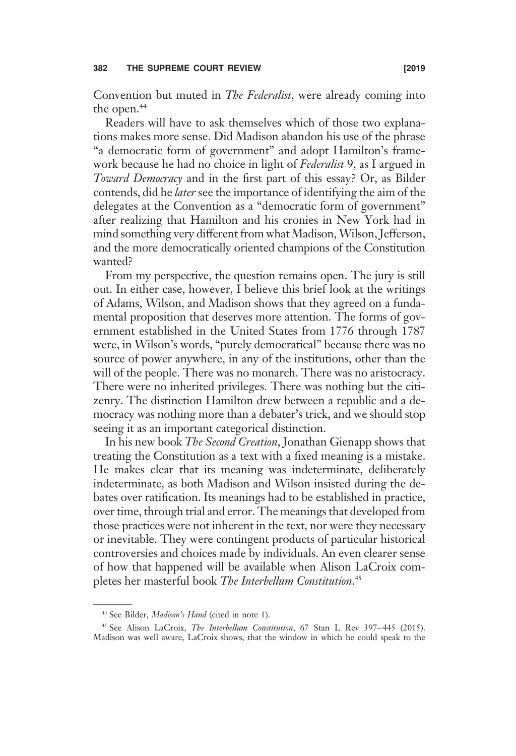Convention but muted in The Federalist, were already coming into the open.<sup>44</sup>

Readers will have to ask themselves which of those two explanations makes more sense. Did Madison abandon his use of the phrase "a democratic form of government" and adopt Hamilton's framework because he had no choice in light of Federalist 9, as I argued in Toward Democracy and in the first part of this essay? Or, as Bilder contends, did he later see the importance of identifying the aim of the delegates at the Convention as a "democratic form of government" after realizing that Hamilton and his cronies in New York had in mind something very different from what Madison, Wilson, Jefferson, and the more democratically oriented champions of the Constitution wanted?

From my perspective, the question remains open. The jury is still out. In either case, however, I believe this brief look at the writings of Adams, Wilson, and Madison shows that they agreed on a fundamental proposition that deserves more attention. The forms of government established in the United States from 1776 through 1787 were, in Wilson's words, "purely democratical" because there was no source of power anywhere, in any of the institutions, other than the will of the people. There was no monarch. There was no aristocracy. There were no inherited privileges. There was nothing but the citizenry. The distinction Hamilton drew between a republic and a democracy was nothing more than a debater's trick, and we should stop seeing it as an important categorical distinction.

In his new book The Second Creation, Jonathan Gienapp shows that treating the Constitution as a text with a fixed meaning is a mistake. He makes clear that its meaning was indeterminate, deliberately indeterminate, as both Madison and Wilson insisted during the debates over ratification. Its meanings had to be established in practice, over time, through trial and error. The meanings that developed from those practices were not inherent in the text, nor were they necessary or inevitable. They were contingent products of particular historical controversies and choices made by individuals. An even clearer sense of how that happened will be available when Alison LaCroix completes her masterful book The Interbellum Constitution.<sup>45</sup>

<sup>&</sup>lt;sup>44</sup> See Bilder, *Madison's Hand* (cited in note 1).

<sup>&</sup>lt;sup>45</sup> See Alison LaCroix, The Interbellum Constitution, 67 Stan L Rev 397-445 (2015). Madison was well aware, LaCroix shows, that the window in which he could speak to the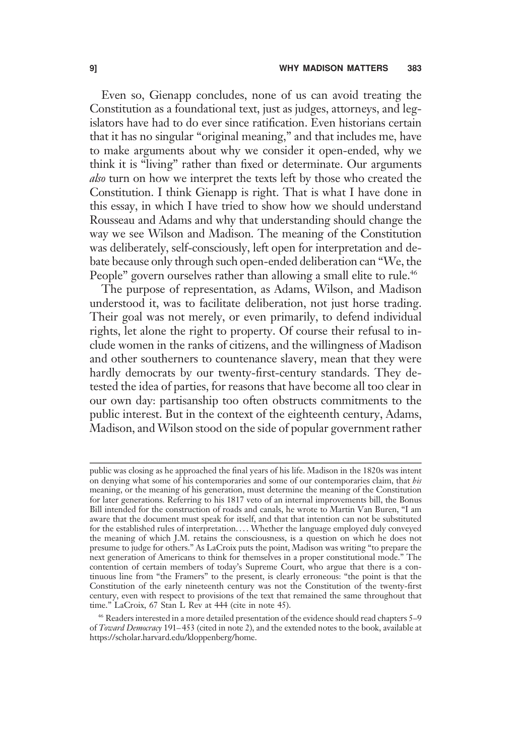Even so, Gienapp concludes, none of us can avoid treating the Constitution as a foundational text, just as judges, attorneys, and legislators have had to do ever since ratification. Even historians certain that it has no singular "original meaning," and that includes me, have to make arguments about why we consider it open-ended, why we think it is "living" rather than fixed or determinate. Our arguments also turn on how we interpret the texts left by those who created the Constitution. I think Gienapp is right. That is what I have done in this essay, in which I have tried to show how we should understand Rousseau and Adams and why that understanding should change the way we see Wilson and Madison. The meaning of the Constitution was deliberately, self-consciously, left open for interpretation and debate because only through such open-ended deliberation can "We, the People" govern ourselves rather than allowing a small elite to rule.<sup>46</sup>

The purpose of representation, as Adams, Wilson, and Madison understood it, was to facilitate deliberation, not just horse trading. Their goal was not merely, or even primarily, to defend individual rights, let alone the right to property. Of course their refusal to include women in the ranks of citizens, and the willingness of Madison and other southerners to countenance slavery, mean that they were hardly democrats by our twenty-first-century standards. They detested the idea of parties, for reasons that have become all too clear in our own day: partisanship too often obstructs commitments to the public interest. But in the context of the eighteenth century, Adams, Madison, and Wilson stood on the side of popular government rather

public was closing as he approached the final years of his life. Madison in the 1820s was intent on denying what some of his contemporaries and some of our contemporaries claim, that his meaning, or the meaning of his generation, must determine the meaning of the Constitution for later generations. Referring to his 1817 veto of an internal improvements bill, the Bonus Bill intended for the construction of roads and canals, he wrote to Martin Van Buren, "I am aware that the document must speak for itself, and that that intention can not be substituted for the established rules of interpretation. . . . Whether the language employed duly conveyed the meaning of which J.M. retains the consciousness, is a question on which he does not presume to judge for others." As LaCroix puts the point, Madison was writing "to prepare the next generation of Americans to think for themselves in a proper constitutional mode." The contention of certain members of today's Supreme Court, who argue that there is a continuous line from "the Framers" to the present, is clearly erroneous: "the point is that the Constitution of the early nineteenth century was not the Constitution of the twenty-first century, even with respect to provisions of the text that remained the same throughout that time." LaCroix, 67 Stan L Rev at 444 (cite in note 45).

<sup>46</sup> Readers interested in a more detailed presentation of the evidence should read chapters 5–9 of Toward Democracy 191-453 (cited in note 2), and the extended notes to the book, available at https://scholar.harvard.edu/kloppenberg/home.